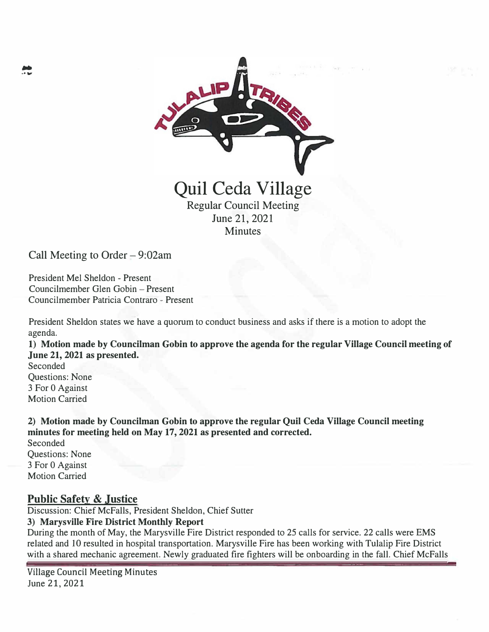

Call Meeting to Order  $-9:02$ am

President Mel Sheldon - Present Councilmember Glen Gobin - Present Councilmember Patricia Contraro - Present

President Sheldon states we have a quorum to conduct business and asks if there is a motion to adopt the agenda.

**1) Motion made by Councilman Gobin to approve the agenda for the regular Village Council meeting of June 21, 2021 as presented.**

Seconded Questions: None 3 For O Against Motion Carried

**2) Motion made by Councilman Gobin to approve the regular Quil Ceda Village Council meeting minutes for meeting held on May 17, 2021 as presented and corrected.** Seconded

Questions: None 3 For O Against Motion Carried

### **Public Safety & Justice**

Discussion: Chief Mcfalls, President Sheldon, Chief Sutter

#### **3) Marysville Fire District Monthly Report**

During the month of May, the Marysville Fire District responded to 25 calls for service. 22 calls were EMS related and 10 resulted in hospital transportation. Marysville Fire has been working with Tulalip Fire District with a shared mechanic agreement. Newly graduated fire fighters will be onboarding in the fall. Chief McFalls

Village Council Meeting Minutes June 21, 2021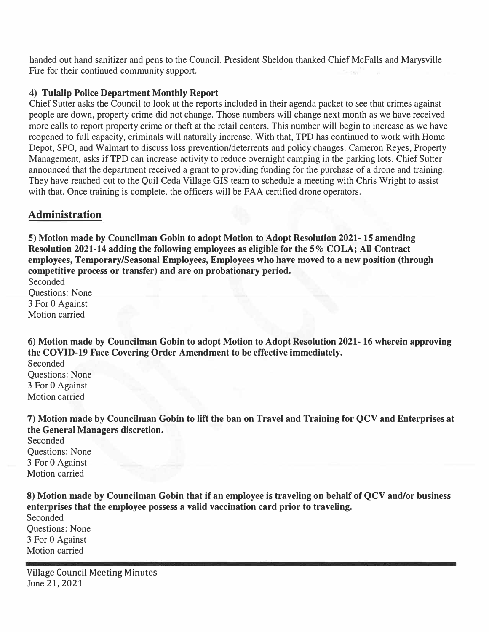handed out hand sanitizer and pens to the Council. President Sheldon thanked Chief McFalls and Marysville Fire for their continued community support.

### **4) Tulalip Police Department Monthly Report**

Chief Sutter asks the Council to look at the reports included in their agenda packet to see that crimes against people are down, property crime did not change. Those numbers will change next month as we have received more calls to report property crime or theft at the retail centers. This number will begin to increase as we have reopened to full capacity, criminals will naturally increase. With that, TPD has continued to work with Home Depot, SPO, and Walmart to discuss loss prevention/deterrents and policy changes. Cameron Reyes, Property Management, asks if TPD can increase activity to reduce overnight camping in the parking lots. Chief Sutter announced that the department received a grant to providing funding for the purchase of a drone and training. They have reached out to the Quil Ceda Village GIS team to schedule a meeting with Chris Wright to assist with that. Once training is complete, the officers will be FAA certified drone operators.

# **Administration**

**5) Motion made by Councilman Gobin to adopt Motion to Adopt Resolution 2021-15 amending Resolution 2021-14 adding the following employees as eligible for the 5% COLA; All Contract employees, Temporary/Seasonal Employees, Employees who have moved to a new position (through competitive process or transfer) and are on probationary period.**

Seconded Questions: None 3 For O Against Motion carried

**6) Motion made by Councilman Gobin to adopt Motion to Adopt Resolution 2021- 16 wherein approving the COVID-19 Face Covering Order Amendment to be effective immediately.**

Seconded Questions: None 3 For O Against Motion carried

**7) Motion made by Councilman Gobin to lift the ban on Travel and Training for QCV and Enterprises at the General Managers discretion.**

Seconded Questions: None 3 For O Against Motion carried

**8) Motion made by Councilman Gobin that if an employee is traveling on behalf of QCV and/or business enterprises that the employee possess a valid vaccination card prior to traveling.** Seconded Questions: None 3 For O Against Motion carried

Village Council Meeting Minutes June 21, 2021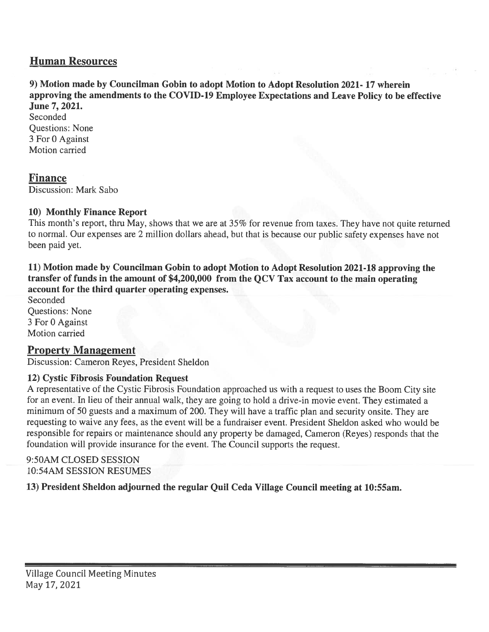# **Human Resources**

### 9) Motion made by Councilman Gobin to adopt Motion to Adopt Resolution 2021-17 wherein approving the amendments to the COVID-19 Employee Expectations and Leave Policy to be effective June 7, 2021.

Seconded **Questions: None** 3 For 0 Against Motion carried

# **Finance**

Discussion: Mark Sabo

### 10) Monthly Finance Report

This month's report, thru May, shows that we are at 35% for revenue from taxes. They have not quite returned to normal. Our expenses are 2 million dollars ahead, but that is because our public safety expenses have not been paid yet.

11) Motion made by Councilman Gobin to adopt Motion to Adopt Resolution 2021-18 approving the transfer of funds in the amount of \$4,200,000 from the QCV Tax account to the main operating account for the third quarter operating expenses.

Seconded **Questions: None** 3 For 0 Against Motion carried

# **Property Management**

Discussion: Cameron Reyes, President Sheldon

### 12) Cystic Fibrosis Foundation Request

A representative of the Cystic Fibrosis Foundation approached us with a request to uses the Boom City site for an event. In lieu of their annual walk, they are going to hold a drive-in movie event. They estimated a minimum of 50 guests and a maximum of 200. They will have a traffic plan and security onsite. They are requesting to waive any fees, as the event will be a fundraiser event. President Sheldon asked who would be responsible for repairs or maintenance should any property be damaged, Cameron (Reyes) responds that the foundation will provide insurance for the event. The Council supports the request.

### 9:50AM CLOSED SESSION **10:54AM SESSION RESUMES**

13) President Sheldon adjourned the regular Quil Ceda Village Council meeting at 10:55am.